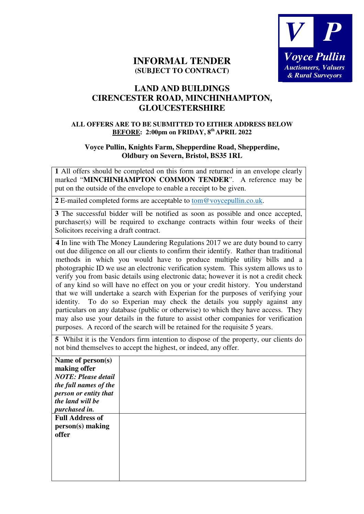

## **INFORMAL TENDER (SUBJECT TO CONTRACT)**

## **LAND AND BUILDINGS CIRENCESTER ROAD, MINCHINHAMPTON, GLOUCESTERSHIRE**

## **ALL OFFERS ARE TO BE SUBMITTED TO EITHER ADDRESS BELOW BEFORE: 2:00pm on FRIDAY, 8th APRIL 2022**

## **Voyce Pullin, Knights Farm, Shepperdine Road, Shepperdine, Oldbury on Severn, Bristol, BS35 1RL**

**1** All offers should be completed on this form and returned in an envelope clearly marked "**MINCHINHAMPTON COMMON TENDER**". A reference may be put on the outside of the envelope to enable a receipt to be given.

**2** E-mailed completed forms are acceptable to tom@voycepullin.co.uk.

**3** The successful bidder will be notified as soon as possible and once accepted, purchaser(s) will be required to exchange contracts within four weeks of their Solicitors receiving a draft contract.

**4** In line with The Money Laundering Regulations 2017 we are duty bound to carry out due diligence on all our clients to confirm their identify. Rather than traditional methods in which you would have to produce multiple utility bills and a photographic ID we use an electronic verification system. This system allows us to verify you from basic details using electronic data; however it is not a credit check of any kind so will have no effect on you or your credit history. You understand that we will undertake a search with Experian for the purposes of verifying your identity. To do so Experian may check the details you supply against any particulars on any database (public or otherwise) to which they have access. They may also use your details in the future to assist other companies for verification purposes. A record of the search will be retained for the requisite 5 years.

**5** Whilst it is the Vendors firm intention to dispose of the property, our clients do not bind themselves to accept the highest, or indeed, any offer.